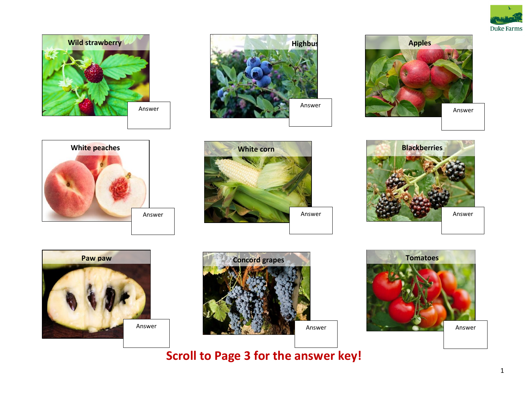



















**Scroll to Page 3 for the answer key!**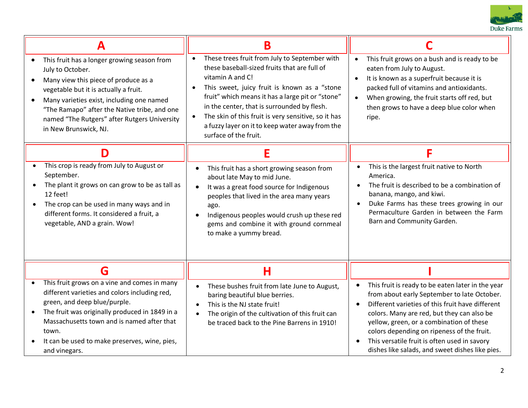

|                                                                                                                                                                                                                                                                                                                                     | Β                                                                                                                                                                                                                                                                                                                                                                                                                    |                                                                                                                                                                                                                                                                                                                                                                                                 |
|-------------------------------------------------------------------------------------------------------------------------------------------------------------------------------------------------------------------------------------------------------------------------------------------------------------------------------------|----------------------------------------------------------------------------------------------------------------------------------------------------------------------------------------------------------------------------------------------------------------------------------------------------------------------------------------------------------------------------------------------------------------------|-------------------------------------------------------------------------------------------------------------------------------------------------------------------------------------------------------------------------------------------------------------------------------------------------------------------------------------------------------------------------------------------------|
| This fruit has a longer growing season from<br>$\bullet$<br>July to October.<br>Many view this piece of produce as a<br>vegetable but it is actually a fruit.<br>Many varieties exist, including one named<br>"The Ramapo" after the Native tribe, and one<br>named "The Rutgers" after Rutgers University<br>in New Brunswick, NJ. | These trees fruit from July to September with<br>these baseball-sized fruits that are full of<br>vitamin A and C!<br>This sweet, juicy fruit is known as a "stone<br>$\bullet$<br>fruit" which means it has a large pit or "stone"<br>in the center, that is surrounded by flesh.<br>The skin of this fruit is very sensitive, so it has<br>a fuzzy layer on it to keep water away from the<br>surface of the fruit. | This fruit grows on a bush and is ready to be<br>eaten from July to August.<br>It is known as a superfruit because it is<br>$\bullet$<br>packed full of vitamins and antioxidants.<br>When growing, the fruit starts off red, but<br>then grows to have a deep blue color when<br>ripe.                                                                                                         |
| D                                                                                                                                                                                                                                                                                                                                   | Е                                                                                                                                                                                                                                                                                                                                                                                                                    | F                                                                                                                                                                                                                                                                                                                                                                                               |
| This crop is ready from July to August or<br>$\bullet$<br>September.<br>The plant it grows on can grow to be as tall as<br>12 feet!<br>The crop can be used in many ways and in<br>different forms. It considered a fruit, a<br>vegetable, AND a grain. Wow!                                                                        | This fruit has a short growing season from<br>$\bullet$<br>about late May to mid June.<br>It was a great food source for Indigenous<br>$\bullet$<br>peoples that lived in the area many years<br>ago.<br>Indigenous peoples would crush up these red<br>gems and combine it with ground cornmeal<br>to make a yummy bread.                                                                                           | This is the largest fruit native to North<br>America.<br>The fruit is described to be a combination of<br>banana, mango, and kiwi.<br>Duke Farms has these trees growing in our<br>Permaculture Garden in between the Farm<br>Barn and Community Garden.                                                                                                                                        |
| G                                                                                                                                                                                                                                                                                                                                   | Н                                                                                                                                                                                                                                                                                                                                                                                                                    |                                                                                                                                                                                                                                                                                                                                                                                                 |
| This fruit grows on a vine and comes in many<br>different varieties and colors including red,<br>green, and deep blue/purple.<br>The fruit was originally produced in 1849 in a<br>Massachusetts town and is named after that<br>town.<br>It can be used to make preserves, wine, pies,<br>and vinegars.                            | These bushes fruit from late June to August,<br>$\bullet$<br>baring beautiful blue berries.<br>This is the NJ state fruit!<br>$\bullet$<br>The origin of the cultivation of this fruit can<br>$\bullet$<br>be traced back to the Pine Barrens in 1910!                                                                                                                                                               | This fruit is ready to be eaten later in the year<br>from about early September to late October.<br>Different varieties of this fruit have different<br>colors. Many are red, but they can also be<br>yellow, green, or a combination of these<br>colors depending on ripeness of the fruit.<br>This versatile fruit is often used in savory<br>dishes like salads, and sweet dishes like pies. |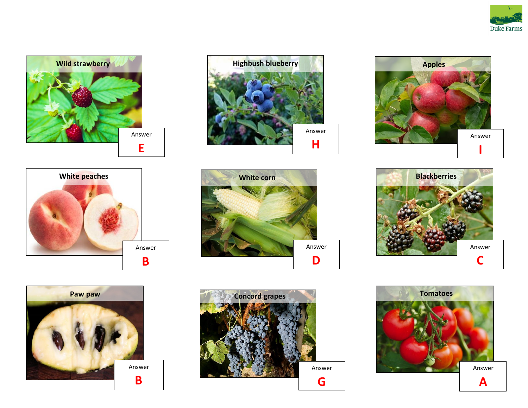